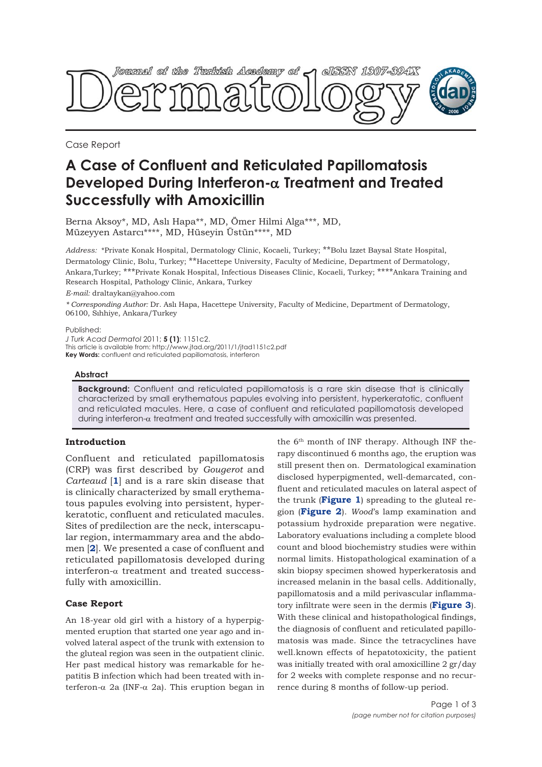

Case Report

# **A Case of Confluent and Reticulated Papillomatosis Developed During Interferon-**α **Treatment and Treated Successfully with Amoxicillin**

Berna Aksoy\*, MD, Aslı Hapa\*\*, MD, Ömer Hilmi Alga\*\*\*, MD, Müzeyyen Astarcı\*\*\*\*, MD, Hüseyin Üstün\*\*\*\*, MD

*Address:* \*Private Konak Hospital, Dermatology Clinic, Kocaeli, Turkey; \*\*Bolu Izzet Baysal State Hospital, Dermatology Clinic, Bolu, Turkey; \*\*Hacettepe University, Faculty of Medicine, Department of Dermatology, Ankara,Turkey; \*\*\*Private Konak Hospital, Infectious Diseases Clinic, Kocaeli, Turkey; \*\*\*\*Ankara Training and Research Hospital, Pathology Clinic, Ankara, Turkey

*E-mail:* draltaykan@yahoo.com

*\* Corresponding Author:* Dr. Aslı Hapa, Hacettepe University, Faculty of Medicine, Department of Dermatology, 06100, Sıhhiye, Ankara/Turkey

Published:

*J Turk Acad Dermatol* 2011; **5 (1)**: 1151c2. This article is available from: http://www.jtad.org/2011/1/jtad1151c2.pdf **Key Words:** confluent and reticulated papillomatosis, interferon

## **Abstract**

**Background:** Confluent and reticulated papillomatosis is a rare skin disease that is clinically characterized by small erythematous papules evolving into persistent, hyperkeratotic, confluent and reticulated macules. Here, a case of confluent and reticulated papillomatosis developed during interferon- $\alpha$  treatment and treated successfully with amoxicillin was presented.

## **Introduction**

Confluent and reticulated papillomatosis (CRP) was first described by *Gougerot* and *Carteaud* [**1**] and is a rare skin disease that is clinically characterized by small erythematous papules evolving into persistent, hyperkeratotic, confluent and reticulated macules. Sites of predilection are the neck, interscapular region, intermammary area and the abdomen [**2**]. We presented a case of confluent and reticulated papillomatosis developed during interferon-α treatment and treated successfully with amoxicillin.

#### **Case Report**

An 18-year old girl with a history of a hyperpigmented eruption that started one year ago and involved lateral aspect of the trunk with extension to the gluteal region was seen in the outpatient clinic. Her past medical history was remarkable for hepatitis B infection which had been treated with interferon-α 2a (INF-α 2a). This eruption began in

the 6th month of INF therapy. Although INF therapy discontinued 6 months ago, the eruption was still present then on. Dermatological examination disclosed hyperpigmented, well-demarcated, confluent and reticulated macules on lateral aspect of the trunk (**Figure 1**) spreading to the gluteal region (**Figure 2**). *Wood*'s lamp examination and potassium hydroxide preparation were negative. Laboratory evaluations including a complete blood count and blood biochemistry studies were within normal limits. Histopathological examination of a skin biopsy specimen showed hyperkeratosis and increased melanin in the basal cells. Additionally, papillomatosis and a mild perivascular inflammatory infiltrate were seen in the dermis (**Figure 3**). With these clinical and histopathological findings, the diagnosis of confluent and reticulated papillomatosis was made. Since the tetracyclines have well.known effects of hepatotoxicity, the patient was initially treated with oral amoxicilline 2 gr/day for 2 weeks with complete response and no recurrence during 8 months of follow-up period.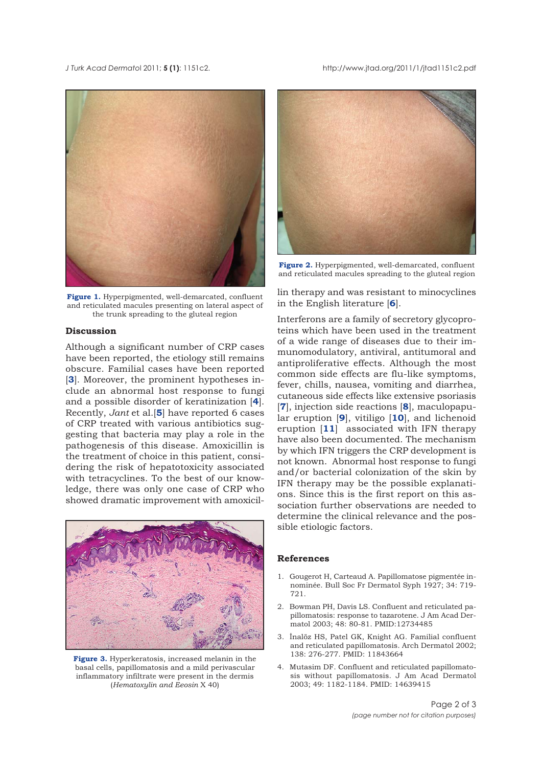*J* Turk Acad Dermatol 2011; **5 (1)**: 1151c2. http://www.jtad.org/2011/1/jtad1151c2.pdf



**Figure 1.** Hyperpigmented, well-demarcated, confluent and reticulated macules presenting on lateral aspect of the trunk spreading to the gluteal region

#### **Discussion**

Although a significant number of CRP cases have been reported, the etiology still remains obscure. Familial cases have been reported [**3**]. Moreover, the prominent hypotheses include an abnormal host response to fungi and a possible disorder of keratinization [**4**]. Recently, *Jant* et al.[**5**] have reported 6 cases of CRP treated with various antibiotics suggesting that bacteria may play a role in the pathogenesis of this disease. Amoxicillin is the treatment of choice in this patient, considering the risk of hepatotoxicity associated with tetracyclines. To the best of our knowledge, there was only one case of CRP who showed dramatic improvement with amoxicil-



**Figure 3.** Hyperkeratosis, increased melanin in the basal cells, papillomatosis and a mild perivascular inflammatory infiltrate were present in the dermis (*Hematoxylin and Eeosin* X 40)



**Figure 2.** Hyperpigmented, well-demarcated, confluent and reticulated macules spreading to the gluteal region

lin therapy and was resistant to minocyclines in the English literature [**6**].

Interferons are a family of secretory glycoproteins which have been used in the treatment of a wide range of diseases due to their immunomodulatory, antiviral, antitumoral and antiproliferative effects. Although the most common side effects are flu-like symptoms, fever, chills, nausea, vomiting and diarrhea, cutaneous side effects like extensive psoriasis [**7**], injection side reactions [**8**], maculopapular eruption [**9**], vitiligo [**10**], and lichenoid eruption [**11**] associated with IFN therapy have also been documented. The mechanism by which IFN triggers the CRP development is not known. Abnormal host response to fungi and/or bacterial colonization of the skin by IFN therapy may be the possible explanations. Since this is the first report on this association further observations are needed to determine the clinical relevance and the possible etiologic factors.

#### **References**

- 1. Gougerot H, Carteaud A. Papillomatose pigmentée innominée. Bull Soc Fr Dermatol Syph 1927; 34: 719- 721.
- 2. Bowman PH, Davis LS. Confluent and reticulated papillomatosis: response to tazarotene. J Am Acad Dermatol 2003; 48: 80-81. PMID:12734485
- 3. İnalöz HS, Patel GK, Knight AG. Familial confluent and reticulated papillomatosis. Arch Dermatol 2002; 138: 276-277. PMID: 11843664
- 4. Mutasim DF. Confluent and reticulated papillomatosis without papillomatosis. J Am Acad Dermatol 2003; 49: 1182-1184. PMID: 14639415